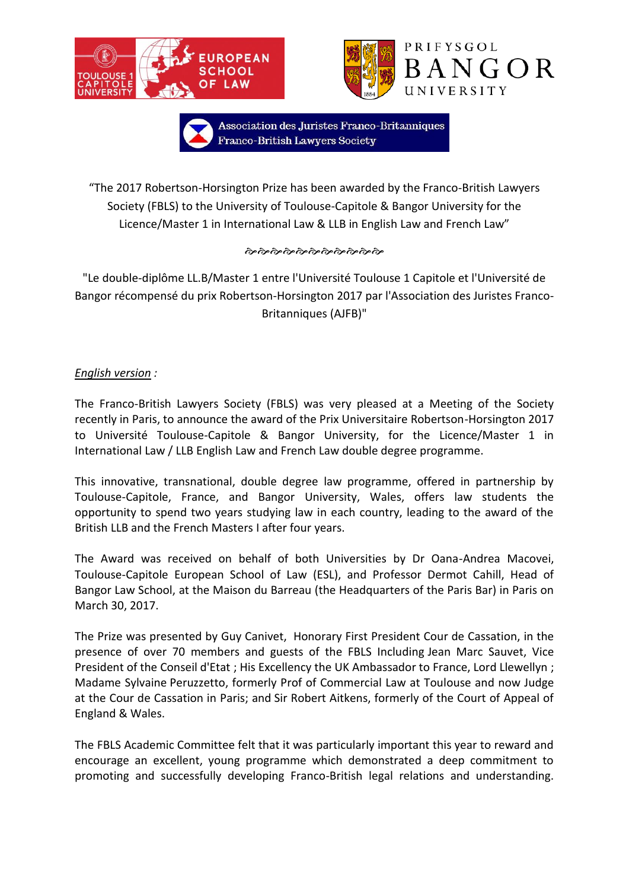



Association des Juristes Franco-Britanniques Franco-British Lawyers Society

"The 2017 Robertson-Horsington Prize has been awarded by the Franco-British Lawyers Society (FBLS) to the University of Toulouse-Capitole & Bangor University for the Licence/Master 1 in International Law & LLB in English Law and French Law"

## 

"Le double-diplôme LL.B/Master 1 entre l'Université Toulouse 1 Capitole et l'Université de Bangor récompensé du prix Robertson-Horsington 2017 par l'Association des Juristes Franco-Britanniques (AJFB)"

## *English version :*

The Franco-British Lawyers Society (FBLS) was very pleased at a Meeting of the Society recently in Paris, to announce the award of the Prix Universitaire Robertson-Horsington 2017 to Université Toulouse-Capitole & Bangor University, for the Licence/Master 1 in International Law / LLB English Law and French Law double degree programme.

This innovative, transnational, double degree law programme, offered in partnership by Toulouse-Capitole, France, and Bangor University, Wales, offers law students the opportunity to spend two years studying law in each country, leading to the award of the British LLB and the French Masters I after four years.

The Award was received on behalf of both Universities by Dr Oana-Andrea Macovei, Toulouse-Capitole European School of Law (ESL), and Professor Dermot Cahill, Head of Bangor Law School, at the Maison du Barreau (the Headquarters of the Paris Bar) in Paris on March 30, 2017.

The Prize was presented by Guy Canivet, Honorary First President Cour de Cassation, in the presence of over 70 members and guests of the FBLS Including Jean Marc Sauvet, Vice President of the Conseil d'Etat ; His Excellency the UK Ambassador to France, Lord Llewellyn ; Madame Sylvaine Peruzzetto, formerly Prof of Commercial Law at Toulouse and now Judge at the Cour de Cassation in Paris; and Sir Robert Aitkens, formerly of the Court of Appeal of England & Wales.

The FBLS Academic Committee felt that it was particularly important this year to reward and encourage an excellent, young programme which demonstrated a deep commitment to promoting and successfully developing Franco-British legal relations and understanding.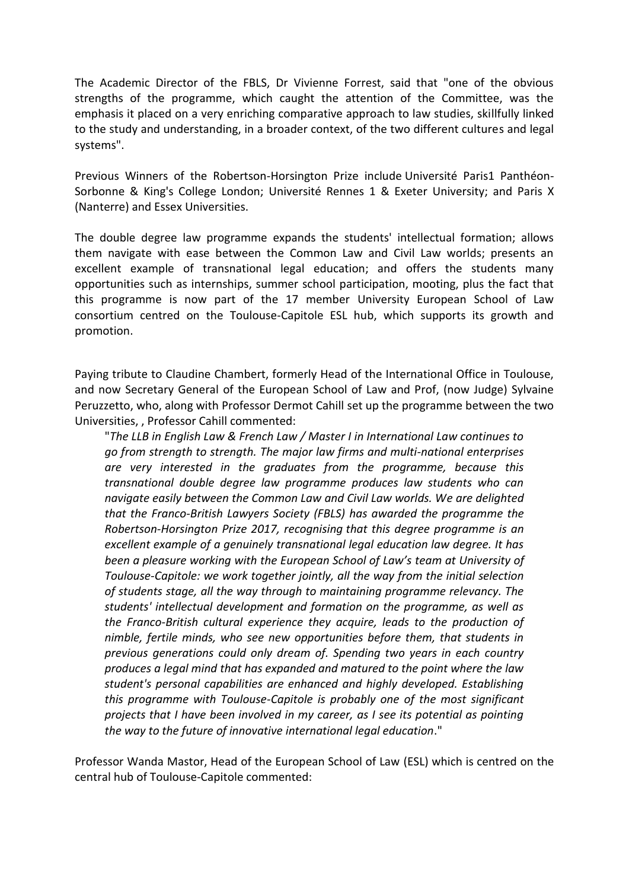The Academic Director of the FBLS, Dr Vivienne Forrest, said that "one of the obvious strengths of the programme, which caught the attention of the Committee, was the emphasis it placed on a very enriching comparative approach to law studies, skillfully linked to the study and understanding, in a broader context, of the two different cultures and legal systems".

Previous Winners of the Robertson-Horsington Prize include Université Paris1 Panthéon-Sorbonne & King's College London; Université Rennes 1 & Exeter University; and Paris X (Nanterre) and Essex Universities.

The double degree law programme expands the students' intellectual formation; allows them navigate with ease between the Common Law and Civil Law worlds; presents an excellent example of transnational legal education; and offers the students many opportunities such as internships, summer school participation, mooting, plus the fact that this programme is now part of the 17 member University European School of Law consortium centred on the Toulouse-Capitole ESL hub, which supports its growth and promotion.

Paying tribute to Claudine Chambert, formerly Head of the International Office in Toulouse, and now Secretary General of the European School of Law and Prof, (now Judge) Sylvaine Peruzzetto, who, along with Professor Dermot Cahill set up the programme between the two Universities, , Professor Cahill commented:

"*The LLB in English Law & French Law / Master I in International Law continues to go from strength to strength. The major law firms and multi-national enterprises are very interested in the graduates from the programme, because this transnational double degree law programme produces law students who can navigate easily between the Common Law and Civil Law worlds. We are delighted that the Franco-British Lawyers Society (FBLS) has awarded the programme the Robertson-Horsington Prize 2017, recognising that this degree programme is an excellent example of a genuinely transnational legal education law degree. It has been a pleasure working with the European School of Law's team at University of Toulouse-Capitole: we work together jointly, all the way from the initial selection of students stage, all the way through to maintaining programme relevancy. The students' intellectual development and formation on the programme, as well as the Franco-British cultural experience they acquire, leads to the production of nimble, fertile minds, who see new opportunities before them, that students in previous generations could only dream of. Spending two years in each country produces a legal mind that has expanded and matured to the point where the law student's personal capabilities are enhanced and highly developed. Establishing this programme with Toulouse-Capitole is probably one of the most significant projects that I have been involved in my career, as I see its potential as pointing the way to the future of innovative international legal education*."

Professor Wanda Mastor, Head of the European School of Law (ESL) which is centred on the central hub of Toulouse-Capitole commented: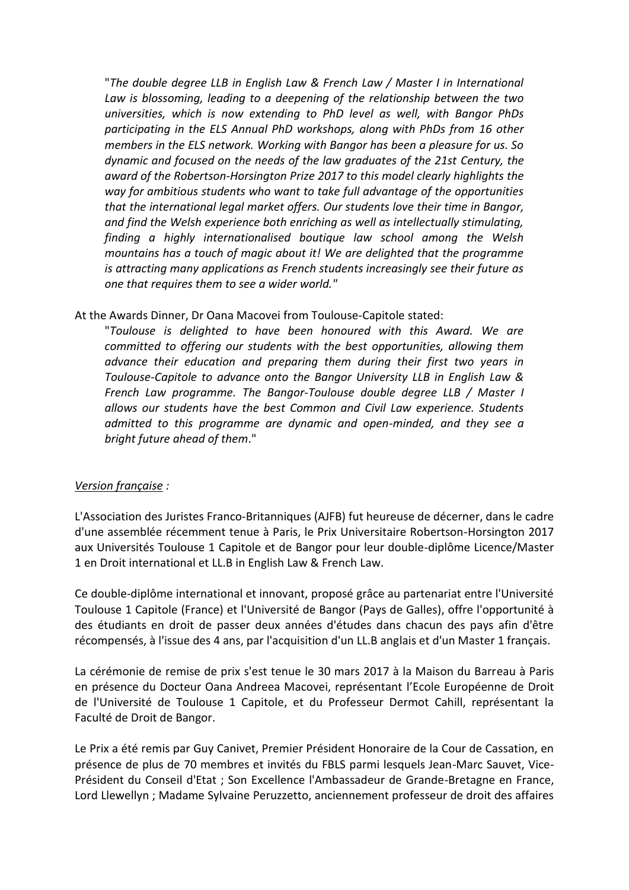"*The double degree LLB in English Law & French Law / Master I in International Law is blossoming, leading to a deepening of the relationship between the two universities, which is now extending to PhD level as well, with Bangor PhDs participating in the ELS Annual PhD workshops, along with PhDs from 16 other members in the ELS network. Working with Bangor has been a pleasure for us. So dynamic and focused on the needs of the law graduates of the 21st Century, the award of the Robertson-Horsington Prize 2017 to this model clearly highlights the way for ambitious students who want to take full advantage of the opportunities that the international legal market offers. Our students love their time in Bangor, and find the Welsh experience both enriching as well as intellectually stimulating, finding a highly internationalised boutique law school among the Welsh mountains has a touch of magic about it! We are delighted that the programme is attracting many applications as French students increasingly see their future as one that requires them to see a wider world."*

At the Awards Dinner, Dr Oana Macovei from Toulouse-Capitole stated:

"*Toulouse is delighted to have been honoured with this Award. We are committed to offering our students with the best opportunities, allowing them advance their education and preparing them during their first two years in Toulouse-Capitole to advance onto the Bangor University LLB in English Law & French Law programme. The Bangor-Toulouse double degree LLB / Master I allows our students have the best Common and Civil Law experience. Students admitted to this programme are dynamic and open-minded, and they see a bright future ahead of them*."

## *Version française :*

L'Association des Juristes Franco-Britanniques (AJFB) fut heureuse de décerner, dans le cadre d'une assemblée récemment tenue à Paris, le Prix Universitaire Robertson-Horsington 2017 aux Universités Toulouse 1 Capitole et de Bangor pour leur double-diplôme Licence/Master 1 en Droit international et LL.B in English Law & French Law.

Ce double-diplôme international et innovant, proposé grâce au partenariat entre l'Université Toulouse 1 Capitole (France) et l'Université de Bangor (Pays de Galles), offre l'opportunité à des étudiants en droit de passer deux années d'études dans chacun des pays afin d'être récompensés, à l'issue des 4 ans, par l'acquisition d'un LL.B anglais et d'un Master 1 français.

La cérémonie de remise de prix s'est tenue le 30 mars 2017 à la Maison du Barreau à Paris en présence du Docteur Oana Andreea Macovei, représentant l'Ecole Européenne de Droit de l'Université de Toulouse 1 Capitole, et du Professeur Dermot Cahill, représentant la Faculté de Droit de Bangor.

Le Prix a été remis par Guy Canivet, Premier Président Honoraire de la Cour de Cassation, en présence de plus de 70 membres et invités du FBLS parmi lesquels Jean-Marc Sauvet, Vice-Président du Conseil d'Etat ; Son Excellence l'Ambassadeur de Grande-Bretagne en France, Lord Llewellyn ; Madame Sylvaine Peruzzetto, anciennement professeur de droit des affaires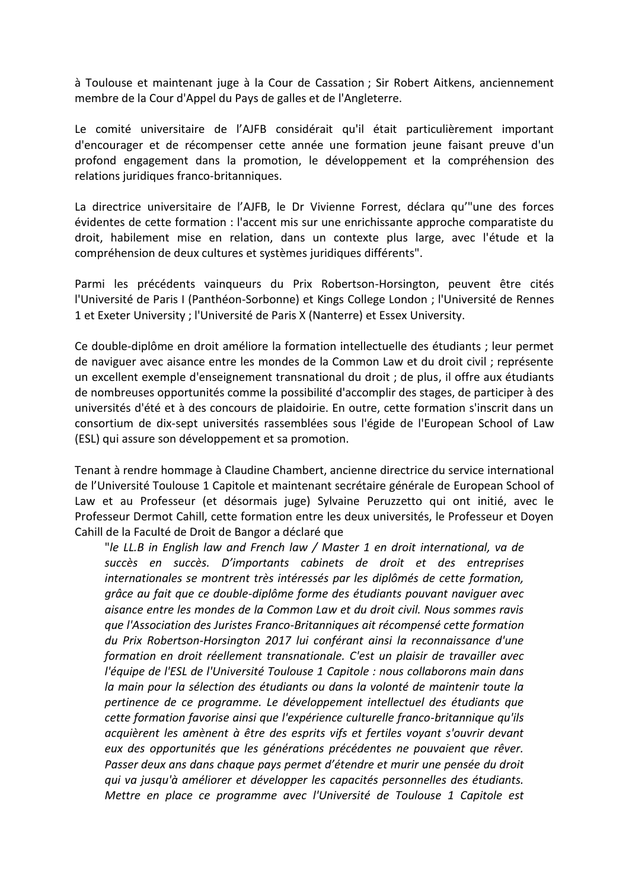à Toulouse et maintenant juge à la Cour de Cassation ; Sir Robert Aitkens, anciennement membre de la Cour d'Appel du Pays de galles et de l'Angleterre.

Le comité universitaire de l'AJFB considérait qu'il était particulièrement important d'encourager et de récompenser cette année une formation jeune faisant preuve d'un profond engagement dans la promotion, le développement et la compréhension des relations juridiques franco-britanniques.

La directrice universitaire de l'AJFB, le Dr Vivienne Forrest, déclara qu'"une des forces évidentes de cette formation : l'accent mis sur une enrichissante approche comparatiste du droit, habilement mise en relation, dans un contexte plus large, avec l'étude et la compréhension de deux cultures et systèmes juridiques différents".

Parmi les précédents vainqueurs du Prix Robertson-Horsington, peuvent être cités l'Université de Paris I (Panthéon-Sorbonne) et Kings College London ; l'Université de Rennes 1 et Exeter University ; l'Université de Paris X (Nanterre) et Essex University.

Ce double-diplôme en droit améliore la formation intellectuelle des étudiants ; leur permet de naviguer avec aisance entre les mondes de la Common Law et du droit civil ; représente un excellent exemple d'enseignement transnational du droit ; de plus, il offre aux étudiants de nombreuses opportunités comme la possibilité d'accomplir des stages, de participer à des universités d'été et à des concours de plaidoirie. En outre, cette formation s'inscrit dans un consortium de dix-sept universités rassemblées sous l'égide de l'European School of Law (ESL) qui assure son développement et sa promotion.

Tenant à rendre hommage à Claudine Chambert, ancienne directrice du service international de l'Université Toulouse 1 Capitole et maintenant secrétaire générale de European School of Law et au Professeur (et désormais juge) Sylvaine Peruzzetto qui ont initié, avec le Professeur Dermot Cahill, cette formation entre les deux universités, le Professeur et Doyen Cahill de la Faculté de Droit de Bangor a déclaré que

"*le LL.B in English law and French law / Master 1 en droit international, va de succès en succès. D'importants cabinets de droit et des entreprises internationales se montrent très intéressés par les diplômés de cette formation, grâce au fait que ce double-diplôme forme des étudiants pouvant naviguer avec aisance entre les mondes de la Common Law et du droit civil. Nous sommes ravis que l'Association des Juristes Franco-Britanniques ait récompensé cette formation du Prix Robertson-Horsington 2017 lui conférant ainsi la reconnaissance d'une formation en droit réellement transnationale. C'est un plaisir de travailler avec l'équipe de l'ESL de l'Université Toulouse 1 Capitole : nous collaborons main dans la main pour la sélection des étudiants ou dans la volonté de maintenir toute la pertinence de ce programme. Le développement intellectuel des étudiants que cette formation favorise ainsi que l'expérience culturelle franco-britannique qu'ils acquièrent les amènent à être des esprits vifs et fertiles voyant s'ouvrir devant*  eux des opportunités que les générations précédentes ne pouvaient que rêver. *Passer deux ans dans chaque pays permet d'étendre et murir une pensée du droit qui va jusqu'à améliorer et développer les capacités personnelles des étudiants. Mettre en place ce programme avec l'Université de Toulouse 1 Capitole est*